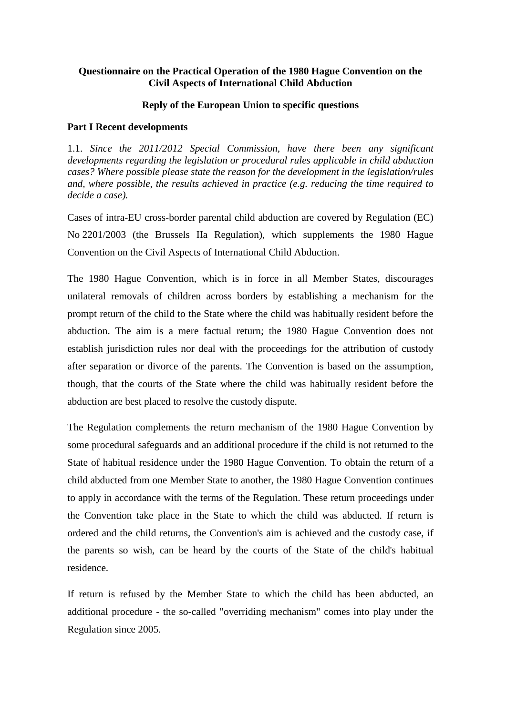# **Questionnaire on the Practical Operation of the 1980 Hague Convention on the Civil Aspects of International Child Abduction**

## **Reply of the European Union to specific questions**

## **Part I Recent developments**

1.1. *Since the 2011/2012 Special Commission, have there been any significant developments regarding the legislation or procedural rules applicable in child abduction cases? Where possible please state the reason for the development in the legislation/rules and, where possible, the results achieved in practice (e.g. reducing the time required to decide a case).* 

Cases of intra-EU cross-border parental child abduction are covered by Regulation (EC) No 2201/2003 (the Brussels IIa Regulation), which supplements the 1980 Hague Convention on the Civil Aspects of International Child Abduction.

The 1980 Hague Convention, which is in force in all Member States, discourages unilateral removals of children across borders by establishing a mechanism for the prompt return of the child to the State where the child was habitually resident before the abduction. The aim is a mere factual return; the 1980 Hague Convention does not establish jurisdiction rules nor deal with the proceedings for the attribution of custody after separation or divorce of the parents. The Convention is based on the assumption, though, that the courts of the State where the child was habitually resident before the abduction are best placed to resolve the custody dispute.

The Regulation complements the return mechanism of the 1980 Hague Convention by some procedural safeguards and an additional procedure if the child is not returned to the State of habitual residence under the 1980 Hague Convention. To obtain the return of a child abducted from one Member State to another, the 1980 Hague Convention continues to apply in accordance with the terms of the Regulation. These return proceedings under the Convention take place in the State to which the child was abducted. If return is ordered and the child returns, the Convention's aim is achieved and the custody case, if the parents so wish, can be heard by the courts of the State of the child's habitual residence.

If return is refused by the Member State to which the child has been abducted, an additional procedure - the so-called "overriding mechanism" comes into play under the Regulation since 2005.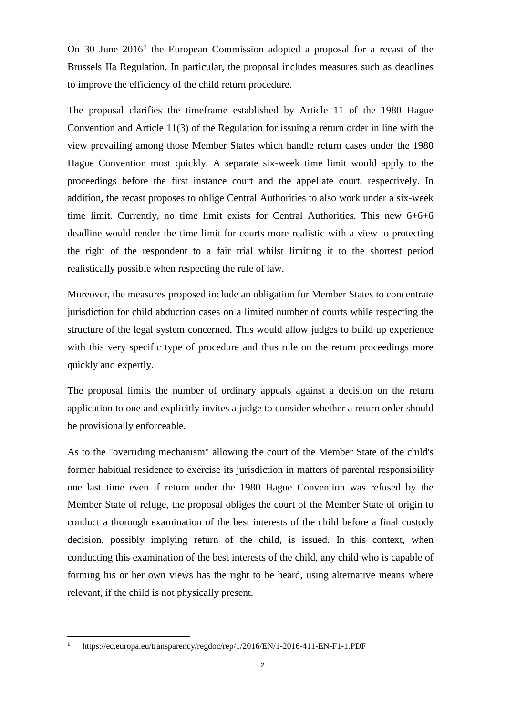On 30 June 2016**[1](#page-1-0)** the European Commission adopted a proposal for a recast of the Brussels IIa Regulation. In particular, the proposal includes measures such as deadlines to improve the efficiency of the child return procedure.

The proposal clarifies the timeframe established by Article 11 of the 1980 Hague Convention and Article 11(3) of the Regulation for issuing a return order in line with the view prevailing among those Member States which handle return cases under the 1980 Hague Convention most quickly. A separate six-week time limit would apply to the proceedings before the first instance court and the appellate court, respectively. In addition, the recast proposes to oblige Central Authorities to also work under a six-week time limit. Currently, no time limit exists for Central Authorities. This new 6+6+6 deadline would render the time limit for courts more realistic with a view to protecting the right of the respondent to a fair trial whilst limiting it to the shortest period realistically possible when respecting the rule of law.

Moreover, the measures proposed include an obligation for Member States to concentrate jurisdiction for child abduction cases on a limited number of courts while respecting the structure of the legal system concerned. This would allow judges to build up experience with this very specific type of procedure and thus rule on the return proceedings more quickly and expertly.

The proposal limits the number of ordinary appeals against a decision on the return application to one and explicitly invites a judge to consider whether a return order should be provisionally enforceable.

As to the "overriding mechanism" allowing the court of the Member State of the child's former habitual residence to exercise its jurisdiction in matters of parental responsibility one last time even if return under the 1980 Hague Convention was refused by the Member State of refuge, the proposal obliges the court of the Member State of origin to conduct a thorough examination of the best interests of the child before a final custody decision, possibly implying return of the child, is issued. In this context, when conducting this examination of the best interests of the child, any child who is capable of forming his or her own views has the right to be heard, using alternative means where relevant, if the child is not physically present.

 $\overline{a}$ 

<span id="page-1-0"></span>**<sup>1</sup>** https://ec.europa.eu/transparency/regdoc/rep/1/2016/EN/1-2016-411-EN-F1-1.PDF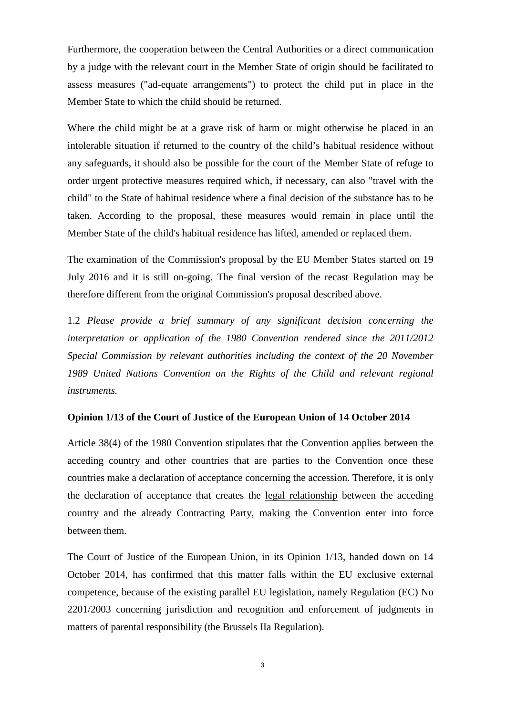Furthermore, the cooperation between the Central Authorities or a direct communication by a judge with the relevant court in the Member State of origin should be facilitated to assess measures ("ad-equate arrangements") to protect the child put in place in the Member State to which the child should be returned.

Where the child might be at a grave risk of harm or might otherwise be placed in an intolerable situation if returned to the country of the child's habitual residence without any safeguards, it should also be possible for the court of the Member State of refuge to order urgent protective measures required which, if necessary, can also "travel with the child" to the State of habitual residence where a final decision of the substance has to be taken. According to the proposal, these measures would remain in place until the Member State of the child's habitual residence has lifted, amended or replaced them.

The examination of the Commission's proposal by the EU Member States started on 19 July 2016 and it is still on-going. The final version of the recast Regulation may be therefore different from the original Commission's proposal described above.

1.2 *Please provide a brief summary of any significant decision concerning the interpretation or application of the 1980 Convention rendered since the 2011/2012 Special Commission by relevant authorities including the context of the 20 November 1989 United Nations Convention on the Rights of the Child and relevant regional instruments.*

#### **Opinion 1/13 of the Court of Justice of the European Union of 14 October 2014**

Article 38(4) of the 1980 Convention stipulates that the Convention applies between the acceding country and other countries that are parties to the Convention once these countries make a declaration of acceptance concerning the accession. Therefore, it is only the declaration of acceptance that creates the legal relationship between the acceding country and the already Contracting Party, making the Convention enter into force between them.

The Court of Justice of the European Union, in its Opinion 1/13, handed down on 14 October 2014, has confirmed that this matter falls within the EU exclusive external competence, because of the existing parallel EU legislation, namely Regulation (EC) No 2201/2003 concerning jurisdiction and recognition and enforcement of judgments in matters of parental responsibility (the Brussels IIa Regulation).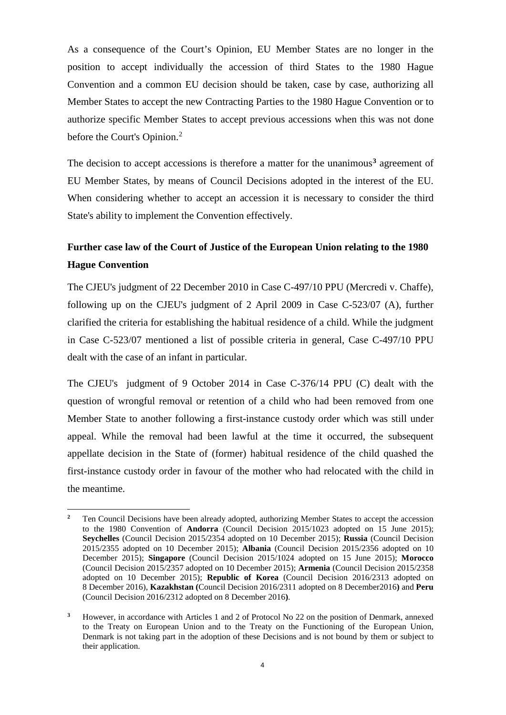As a consequence of the Court's Opinion, EU Member States are no longer in the position to accept individually the accession of third States to the 1980 Hague Convention and a common EU decision should be taken, case by case, authorizing all Member States to accept the new Contracting Parties to the 1980 Hague Convention or to authorize specific Member States to accept previous accessions when this was not done before the Court's Opinion.<sup>[2](#page-3-0)</sup>

The decision to accept accessions is therefore a matter for the unanimous**[3](#page-3-1)** agreement of EU Member States, by means of Council Decisions adopted in the interest of the EU. When considering whether to accept an accession it is necessary to consider the third State's ability to implement the Convention effectively.

# **Further case law of the Court of Justice of the European Union relating to the 1980 Hague Convention**

The CJEU's judgment of 22 December 2010 in Case C-497/10 PPU (Mercredi v. Chaffe), following up on the CJEU's judgment of 2 April 2009 in Case C-523/07 (A), further clarified the criteria for establishing the habitual residence of a child. While the judgment in Case C-523/07 mentioned a list of possible criteria in general, Case C-497/10 PPU dealt with the case of an infant in particular.

The CJEU's judgment of 9 October 2014 in Case C-376/14 PPU (C) dealt with the question of wrongful removal or retention of a child who had been removed from one Member State to another following a first-instance custody order which was still under appeal. While the removal had been lawful at the time it occurred, the subsequent appellate decision in the State of (former) habitual residence of the child quashed the first-instance custody order in favour of the mother who had relocated with the child in the meantime.

 $\overline{a}$ 

<span id="page-3-0"></span><sup>&</sup>lt;sup>2</sup> Ten Council Decisions have been already adopted, authorizing Member States to accept the accession to the 1980 Convention of **Andorra** (Council Decision 2015/1023 adopted on 15 June 2015); **Seychelles** (Council Decision 2015/2354 adopted on 10 December 2015); **Russia** (Council Decision 2015/2355 adopted on 10 December 2015); **Albania** (Council Decision 2015/2356 adopted on 10 December 2015); **Singapore** (Council Decision 2015/1024 adopted on 15 June 2015); **Morocco**  (Council Decision 2015/2357 adopted on 10 December 2015); **Armenia** (Council Decision 2015/2358 adopted on 10 December 2015); **Republic of Korea** (Council Decision 2016/2313 adopted on 8 December 2016), **Kazakhstan (**Council Decision 2016/2311 adopted on 8 December2016**)** and **Peru**  (Council Decision 2016/2312 adopted on 8 December 2016**)**.

<span id="page-3-1"></span>**<sup>3</sup>** However, in accordance with Articles 1 and 2 of Protocol No 22 on the position of Denmark, annexed to the Treaty on European Union and to the Treaty on the Functioning of the European Union, Denmark is not taking part in the adoption of these Decisions and is not bound by them or subject to their application.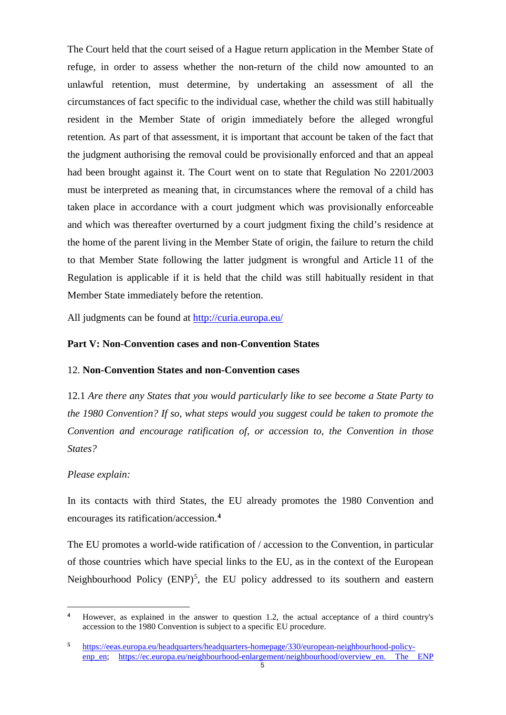The Court held that the court seised of a Hague return application in the Member State of refuge, in order to assess whether the non-return of the child now amounted to an unlawful retention, must determine, by undertaking an assessment of all the circumstances of fact specific to the individual case, whether the child was still habitually resident in the Member State of origin immediately before the alleged wrongful retention. As part of that assessment, it is important that account be taken of the fact that the judgment authorising the removal could be provisionally enforced and that an appeal had been brought against it. The Court went on to state that Regulation No 2201/2003 must be interpreted as meaning that, in circumstances where the removal of a child has taken place in accordance with a court judgment which was provisionally enforceable and which was thereafter overturned by a court judgment fixing the child's residence at the home of the parent living in the Member State of origin, the failure to return the child to that Member State following the latter judgment is wrongful and Article 11 of the Regulation is applicable if it is held that the child was still habitually resident in that Member State immediately before the retention.

All judgments can be found at<http://curia.europa.eu/>

# **Part V: Non-Convention cases and non-Convention States**

## 12. **Non-Convention States and non-Convention cases**

12.1 *Are there any States that you would particularly like to see become a State Party to the 1980 Convention? If so, what steps would you suggest could be taken to promote the Convention and encourage ratification of, or accession to, the Convention in those States?*

## *Please explain:*

 $\overline{a}$ 

In its contacts with third States, the EU already promotes the 1980 Convention and encourages its ratification/accession.**[4](#page-4-0)**

The EU promotes a world-wide ratification of / accession to the Convention, in particular of those countries which have special links to the EU, as in the context of the European Neighbourhood Policy  $(ENP)^5$  $(ENP)^5$ , the EU policy addressed to its southern and eastern

<span id="page-4-0"></span>**<sup>4</sup>** However, as explained in the answer to question 1.2, the actual acceptance of a third country's accession to the 1980 Convention is subject to a specific EU procedure.

<span id="page-4-1"></span>**<sup>5</sup>** [https://eeas.europa.eu/headquarters/headquarters-homepage/330/european-neighbourhood-policy](https://eeas.europa.eu/headquarters/headquarters-homepage/330/european-neighbourhood-policy-enp_en)[enp\\_en;](https://eeas.europa.eu/headquarters/headquarters-homepage/330/european-neighbourhood-policy-enp_en) [https://ec.europa.eu/neighbourhood-enlargement/neighbourhood/overview\\_en.](https://ec.europa.eu/neighbourhood-enlargement/neighbourhood/overview_en) The ENP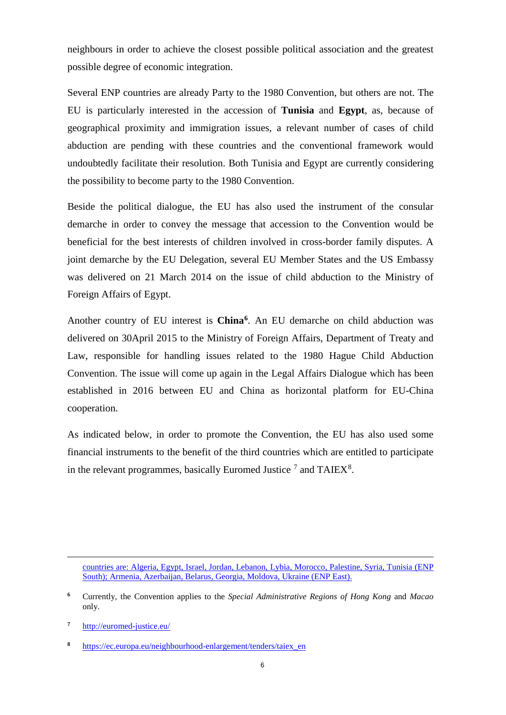neighbours in order to achieve the closest possible political association and the greatest possible degree of economic integration.

Several ENP countries are already Party to the 1980 Convention, but others are not. The EU is particularly interested in the accession of **Tunisia** and **Egypt**, as, because of geographical proximity and immigration issues, a relevant number of cases of child abduction are pending with these countries and the conventional framework would undoubtedly facilitate their resolution. Both Tunisia and Egypt are currently considering the possibility to become party to the 1980 Convention.

Beside the political dialogue, the EU has also used the instrument of the consular demarche in order to convey the message that accession to the Convention would be beneficial for the best interests of children involved in cross-border family disputes. A joint demarche by the EU Delegation, several EU Member States and the US Embassy was delivered on 21 March 2014 on the issue of child abduction to the Ministry of Foreign Affairs of Egypt.

Another country of EU interest is **China[6](#page-5-0)**. An EU demarche on child abduction was delivered on 30April 2015 to the Ministry of Foreign Affairs, Department of Treaty and Law, responsible for handling issues related to the 1980 Hague Child Abduction Convention. The issue will come up again in the Legal Affairs Dialogue which has been established in 2016 between EU and China as horizontal platform for EU-China cooperation.

As indicated below, in order to promote the Convention, the EU has also used some financial instruments to the benefit of the third countries which are entitled to participate in the relevant programmes, basically Euromed Justice  $^7$  $^7$  and TAIEX $^8$  $^8$ .

 $\overline{a}$ 

countries are: Algeria, Egypt, Israel, Jordan, Lebanon, Lybia, Morocco, Palestine, Syria, Tunisia (ENP South); Armenia, Azerbaijan, Belarus, Georgia, Moldova, Ukraine (ENP East).

<span id="page-5-0"></span>**<sup>6</sup>** Currently, the Convention applies to the *Special Administrative Regions of Hong Kong* and *Macao* only.

<span id="page-5-1"></span>**<sup>7</sup>** <http://euromed-justice.eu/>

<span id="page-5-2"></span>**<sup>8</sup>** [https://ec.europa.eu/neighbourhood-enlargement/tenders/taiex\\_en](https://ec.europa.eu/neighbourhood-enlargement/tenders/taiex_en)